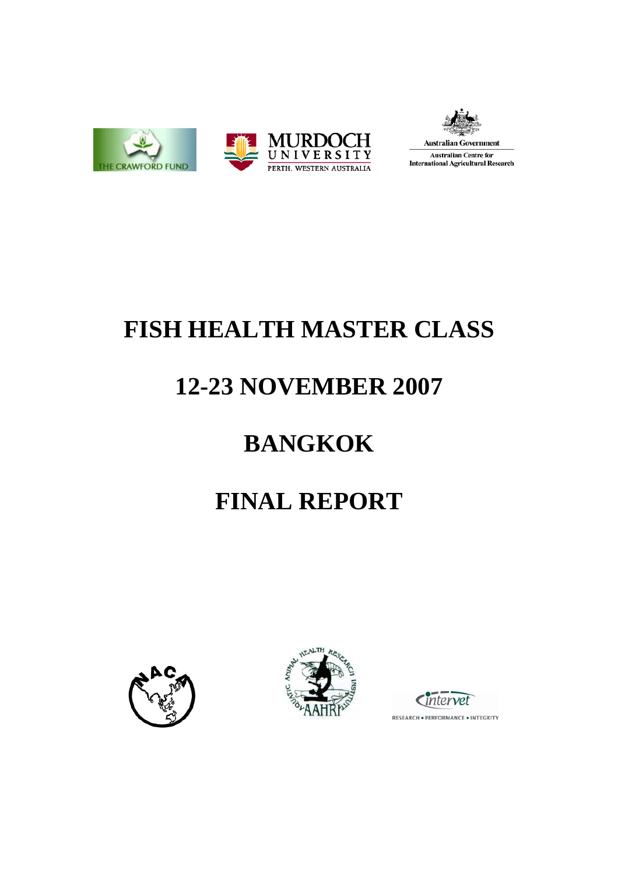



**Australian Government Australian Centre for International Agricultural Research** 

# **FISH HEALTH MASTER CLASS**

# **12-23 NOVEMBER 2007**

# **BANGKOK**

# **FINAL REPORT**







RESEARCH . PERFORMANCE . INTEGRITY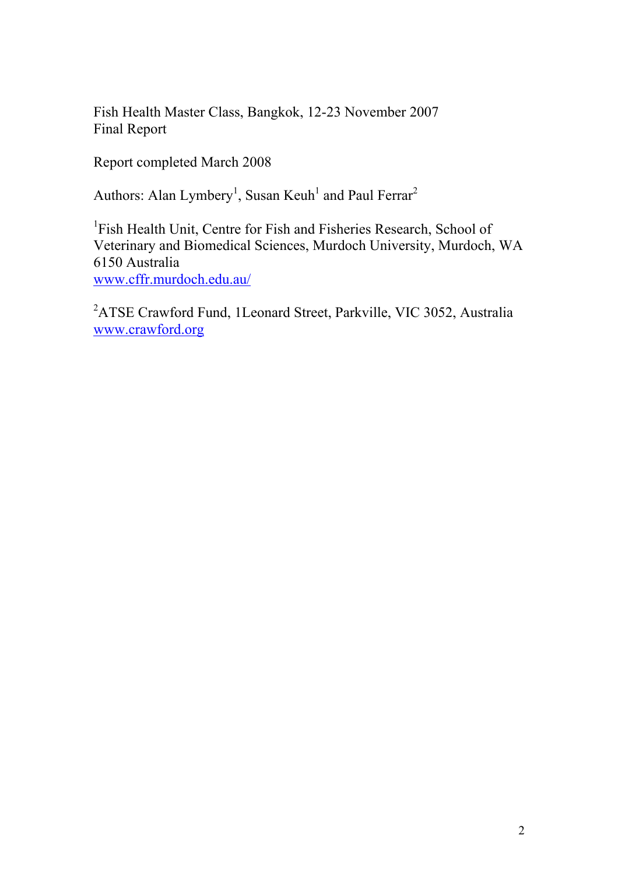Fish Health Master Class, Bangkok, 12-23 November 2007 Final Report

Report completed March 2008

Authors: Alan Lymbery<sup>1</sup>, Susan Keuh<sup>1</sup> and Paul Ferrar<sup>2</sup>

<sup>1</sup>Fish Health Unit, Centre for Fish and Fisheries Research, School of Veterinary and Biomedical Sciences, Murdoch University, Murdoch, WA 6150 Australia <www.cffr.murdoch.edu.au/>

<sup>2</sup>ATSE Crawford Fund, 1Leonard Street, Parkville, VIC 3052, Australia <www.crawford.org>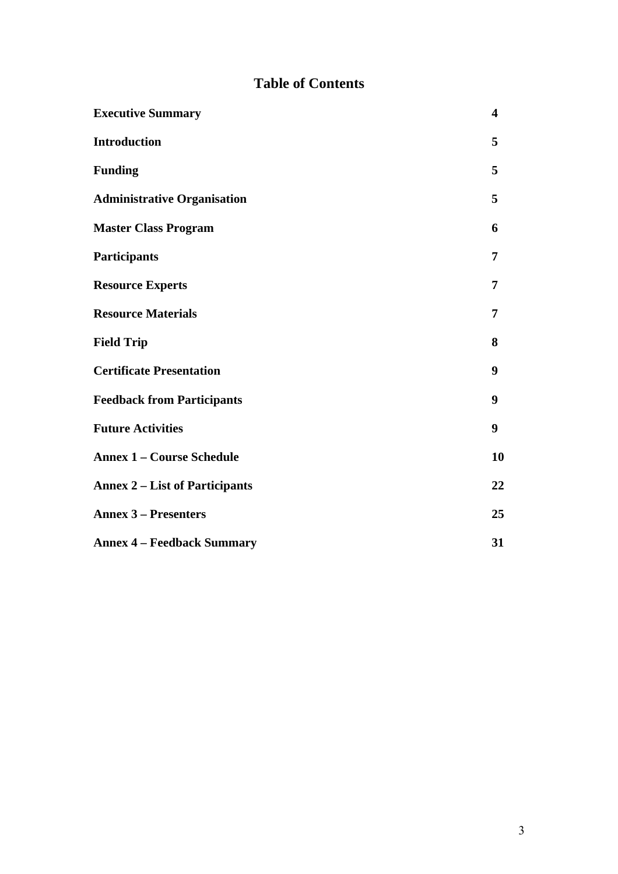# **Table of Contents**

| <b>Executive Summary</b>              | $\overline{\mathbf{4}}$ |
|---------------------------------------|-------------------------|
| <b>Introduction</b>                   | 5                       |
| <b>Funding</b>                        | 5                       |
| <b>Administrative Organisation</b>    | 5                       |
| <b>Master Class Program</b>           | 6                       |
| Participants                          | 7                       |
| <b>Resource Experts</b>               | 7                       |
| <b>Resource Materials</b>             | 7                       |
| <b>Field Trip</b>                     | 8                       |
| <b>Certificate Presentation</b>       | 9                       |
| <b>Feedback from Participants</b>     | 9                       |
| <b>Future Activities</b>              | 9                       |
| <b>Annex 1 - Course Schedule</b>      | 10                      |
| <b>Annex 2 – List of Participants</b> | 22                      |
| <b>Annex 3 – Presenters</b>           | 25                      |
| <b>Annex 4 – Feedback Summary</b>     | 31                      |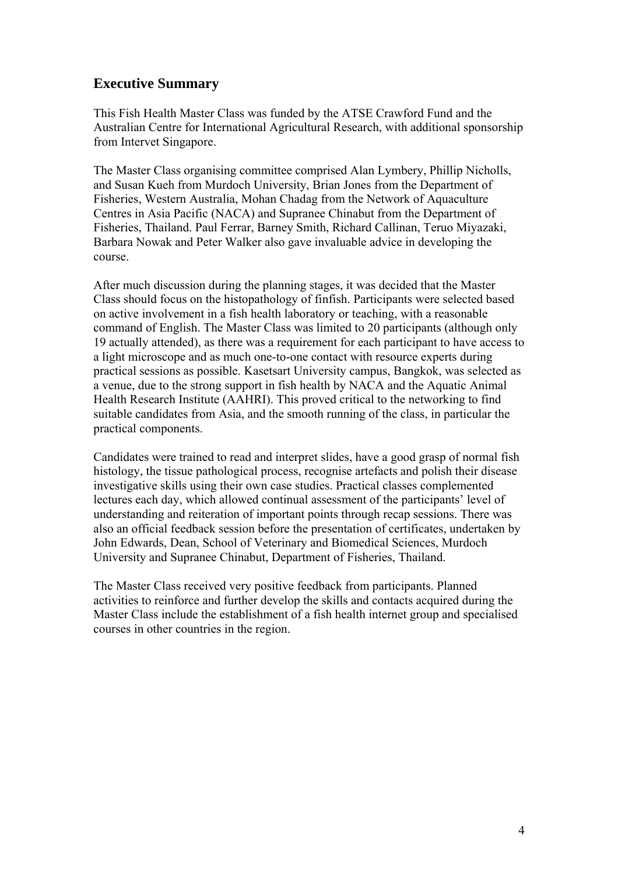#### **Executive Summary**

This Fish Health Master Class was funded by the ATSE Crawford Fund and the Australian Centre for International Agricultural Research, with additional sponsorship from Intervet Singapore.

The Master Class organising committee comprised Alan Lymbery, Phillip Nicholls, and Susan Kueh from Murdoch University, Brian Jones from the Department of Fisheries, Western Australia, Mohan Chadag from the Network of Aquaculture Centres in Asia Pacific (NACA) and Supranee Chinabut from the Department of Fisheries, Thailand. Paul Ferrar, Barney Smith, Richard Callinan, Teruo Miyazaki, Barbara Nowak and Peter Walker also gave invaluable advice in developing the course.

After much discussion during the planning stages, it was decided that the Master Class should focus on the histopathology of finfish. Participants were selected based on active involvement in a fish health laboratory or teaching, with a reasonable command of English. The Master Class was limited to 20 participants (although only 19 actually attended), as there was a requirement for each participant to have access to a light microscope and as much one-to-one contact with resource experts during practical sessions as possible. Kasetsart University campus, Bangkok, was selected as a venue, due to the strong support in fish health by NACA and the Aquatic Animal Health Research Institute (AAHRI). This proved critical to the networking to find suitable candidates from Asia, and the smooth running of the class, in particular the practical components.

Candidates were trained to read and interpret slides, have a good grasp of normal fish histology, the tissue pathological process, recognise artefacts and polish their disease investigative skills using their own case studies. Practical classes complemented lectures each day, which allowed continual assessment of the participants' level of understanding and reiteration of important points through recap sessions. There was also an official feedback session before the presentation of certificates, undertaken by John Edwards, Dean, School of Veterinary and Biomedical Sciences, Murdoch University and Supranee Chinabut, Department of Fisheries, Thailand.

The Master Class received very positive feedback from participants. Planned activities to reinforce and further develop the skills and contacts acquired during the Master Class include the establishment of a fish health internet group and specialised courses in other countries in the region.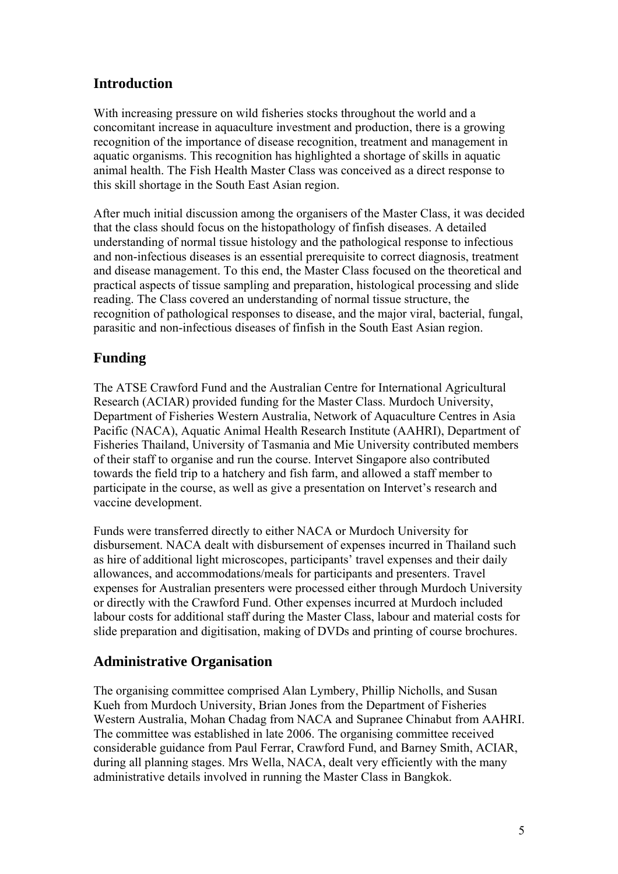# **Introduction**

With increasing pressure on wild fisheries stocks throughout the world and a concomitant increase in aquaculture investment and production, there is a growing recognition of the importance of disease recognition, treatment and management in aquatic organisms. This recognition has highlighted a shortage of skills in aquatic animal health. The Fish Health Master Class was conceived as a direct response to this skill shortage in the South East Asian region.

After much initial discussion among the organisers of the Master Class, it was decided that the class should focus on the histopathology of finfish diseases. A detailed understanding of normal tissue histology and the pathological response to infectious and non-infectious diseases is an essential prerequisite to correct diagnosis, treatment and disease management. To this end, the Master Class focused on the theoretical and practical aspects of tissue sampling and preparation, histological processing and slide reading. The Class covered an understanding of normal tissue structure, the recognition of pathological responses to disease, and the major viral, bacterial, fungal, parasitic and non-infectious diseases of finfish in the South East Asian region.

## **Funding**

The ATSE Crawford Fund and the Australian Centre for International Agricultural Research (ACIAR) provided funding for the Master Class. Murdoch University, Department of Fisheries Western Australia, Network of Aquaculture Centres in Asia Pacific (NACA), Aquatic Animal Health Research Institute (AAHRI), Department of Fisheries Thailand, University of Tasmania and Mie University contributed members of their staff to organise and run the course. Intervet Singapore also contributed towards the field trip to a hatchery and fish farm, and allowed a staff member to participate in the course, as well as give a presentation on Intervet's research and vaccine development.

Funds were transferred directly to either NACA or Murdoch University for disbursement. NACA dealt with disbursement of expenses incurred in Thailand such as hire of additional light microscopes, participants' travel expenses and their daily allowances, and accommodations/meals for participants and presenters. Travel expenses for Australian presenters were processed either through Murdoch University or directly with the Crawford Fund. Other expenses incurred at Murdoch included labour costs for additional staff during the Master Class, labour and material costs for slide preparation and digitisation, making of DVDs and printing of course brochures.

### **Administrative Organisation**

The organising committee comprised Alan Lymbery, Phillip Nicholls, and Susan Kueh from Murdoch University, Brian Jones from the Department of Fisheries Western Australia, Mohan Chadag from NACA and Supranee Chinabut from AAHRI. The committee was established in late 2006. The organising committee received considerable guidance from Paul Ferrar, Crawford Fund, and Barney Smith, ACIAR, during all planning stages. Mrs Wella, NACA, dealt very efficiently with the many administrative details involved in running the Master Class in Bangkok.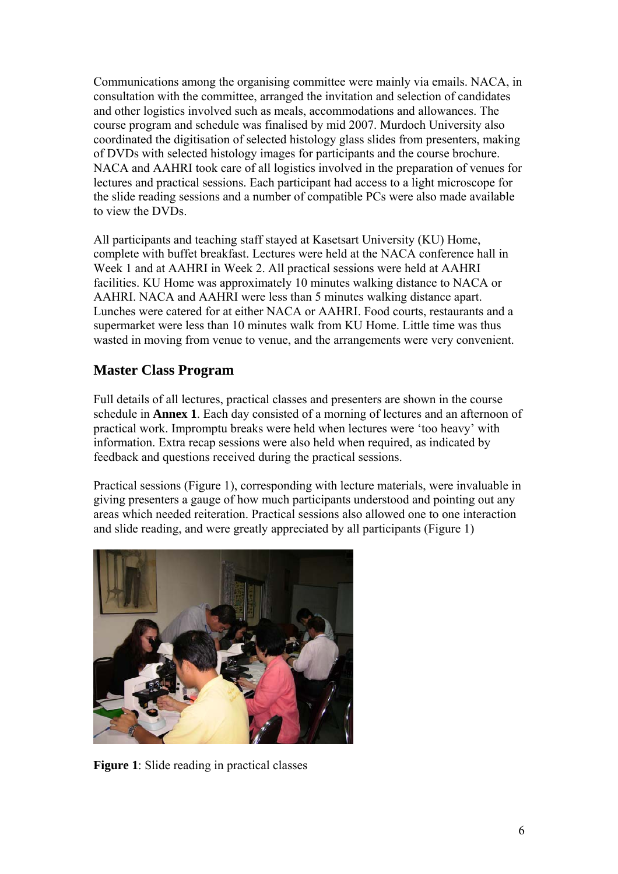Communications among the organising committee were mainly via emails. NACA, in consultation with the committee, arranged the invitation and selection of candidates and other logistics involved such as meals, accommodations and allowances. The course program and schedule was finalised by mid 2007. Murdoch University also coordinated the digitisation of selected histology glass slides from presenters, making of DVDs with selected histology images for participants and the course brochure. NACA and AAHRI took care of all logistics involved in the preparation of venues for lectures and practical sessions. Each participant had access to a light microscope for the slide reading sessions and a number of compatible PCs were also made available to view the DVDs.

All participants and teaching staff stayed at Kasetsart University (KU) Home, complete with buffet breakfast. Lectures were held at the NACA conference hall in Week 1 and at AAHRI in Week 2. All practical sessions were held at AAHRI facilities. KU Home was approximately 10 minutes walking distance to NACA or AAHRI. NACA and AAHRI were less than 5 minutes walking distance apart. Lunches were catered for at either NACA or AAHRI. Food courts, restaurants and a supermarket were less than 10 minutes walk from KU Home. Little time was thus wasted in moving from venue to venue, and the arrangements were very convenient.

### **Master Class Program**

Full details of all lectures, practical classes and presenters are shown in the course schedule in **Annex 1**. Each day consisted of a morning of lectures and an afternoon of practical work. Impromptu breaks were held when lectures were 'too heavy' with information. Extra recap sessions were also held when required, as indicated by feedback and questions received during the practical sessions.

Practical sessions (Figure 1), corresponding with lecture materials, were invaluable in giving presenters a gauge of how much participants understood and pointing out any areas which needed reiteration. Practical sessions also allowed one to one interaction and slide reading, and were greatly appreciated by all participants (Figure 1)



**Figure 1**: Slide reading in practical classes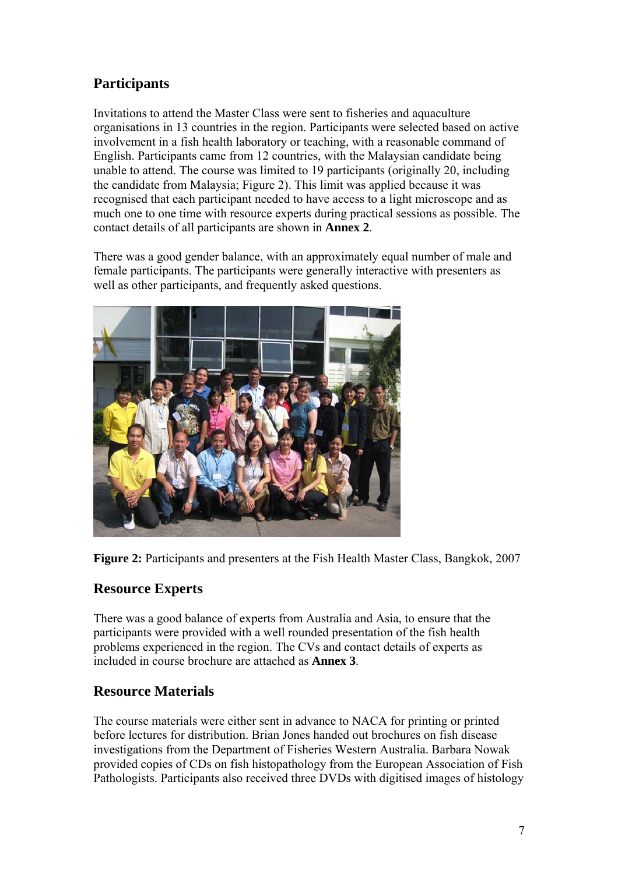# **Participants**

Invitations to attend the Master Class were sent to fisheries and aquaculture organisations in 13 countries in the region. Participants were selected based on active involvement in a fish health laboratory or teaching, with a reasonable command of English. Participants came from 12 countries, with the Malaysian candidate being unable to attend. The course was limited to 19 participants (originally 20, including the candidate from Malaysia; Figure 2). This limit was applied because it was recognised that each participant needed to have access to a light microscope and as much one to one time with resource experts during practical sessions as possible. The contact details of all participants are shown in **Annex 2**.

There was a good gender balance, with an approximately equal number of male and female participants. The participants were generally interactive with presenters as well as other participants, and frequently asked questions.



**Figure 2:** Participants and presenters at the Fish Health Master Class, Bangkok, 2007

### **Resource Experts**

There was a good balance of experts from Australia and Asia, to ensure that the participants were provided with a well rounded presentation of the fish health problems experienced in the region. The CVs and contact details of experts as included in course brochure are attached as **Annex 3**.

### **Resource Materials**

The course materials were either sent in advance to NACA for printing or printed before lectures for distribution. Brian Jones handed out brochures on fish disease investigations from the Department of Fisheries Western Australia. Barbara Nowak provided copies of CDs on fish histopathology from the European Association of Fish Pathologists. Participants also received three DVDs with digitised images of histology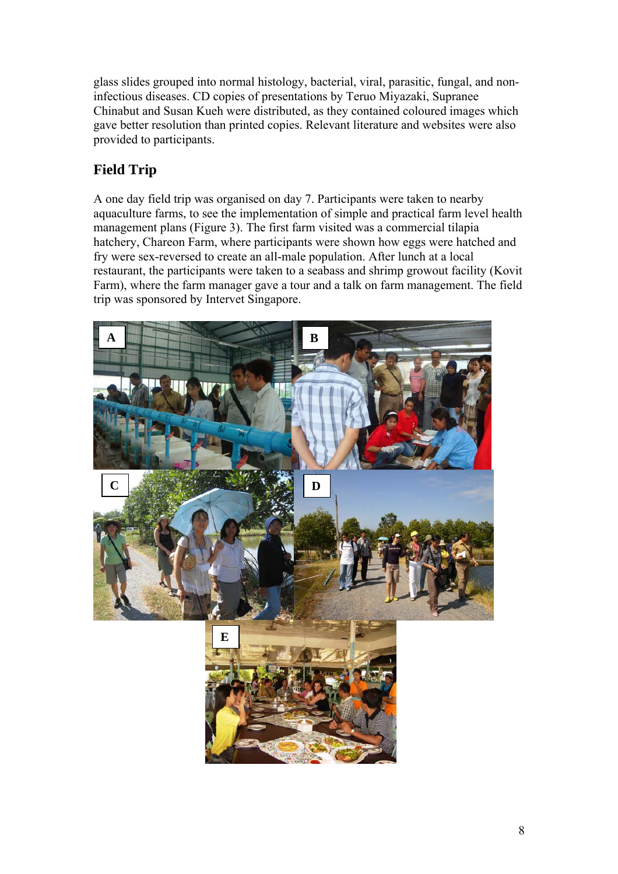glass slides grouped into normal histology, bacterial, viral, parasitic, fungal, and noninfectious diseases. CD copies of presentations by Teruo Miyazaki, Supranee Chinabut and Susan Kueh were distributed, as they contained coloured images which gave better resolution than printed copies. Relevant literature and websites were also provided to participants.

# **Field Trip**

A one day field trip was organised on day 7. Participants were taken to nearby aquaculture farms, to see the implementation of simple and practical farm level health management plans (Figure 3). The first farm visited was a commercial tilapia hatchery, Chareon Farm, where participants were shown how eggs were hatched and fry were sex-reversed to create an all-male population. After lunch at a local restaurant, the participants were taken to a seabass and shrimp growout facility (Kovit Farm), where the farm manager gave a tour and a talk on farm management. The field trip was sponsored by Intervet Singapore.

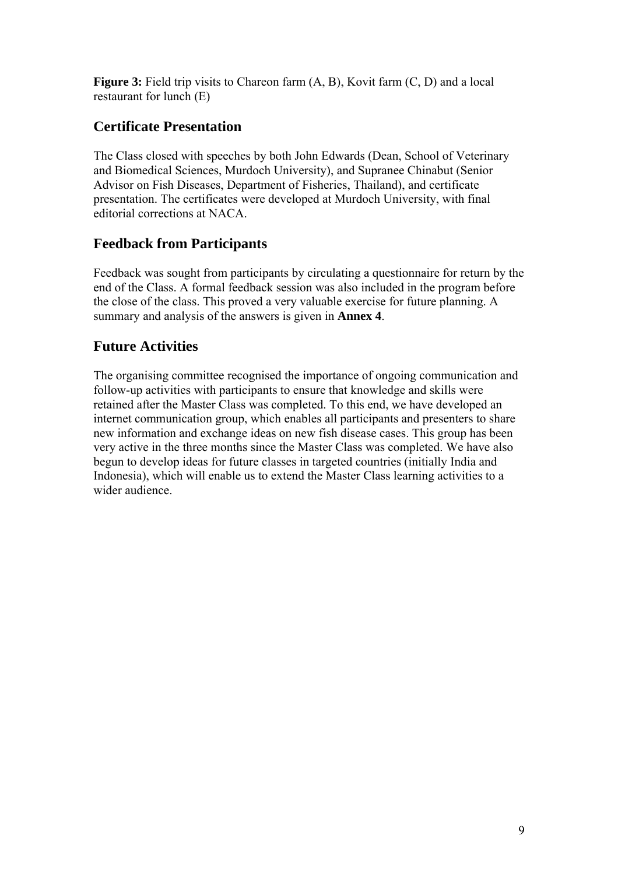**Figure 3:** Field trip visits to Chareon farm  $(A, B)$ , Kovit farm  $(C, D)$  and a local restaurant for lunch (E)

# **Certificate Presentation**

The Class closed with speeches by both John Edwards (Dean, School of Veterinary and Biomedical Sciences, Murdoch University), and Supranee Chinabut (Senior Advisor on Fish Diseases, Department of Fisheries, Thailand), and certificate presentation. The certificates were developed at Murdoch University, with final editorial corrections at NACA.

### **Feedback from Participants**

Feedback was sought from participants by circulating a questionnaire for return by the end of the Class. A formal feedback session was also included in the program before the close of the class. This proved a very valuable exercise for future planning. A summary and analysis of the answers is given in **Annex 4**.

## **Future Activities**

The organising committee recognised the importance of ongoing communication and follow-up activities with participants to ensure that knowledge and skills were retained after the Master Class was completed. To this end, we have developed an internet communication group, which enables all participants and presenters to share new information and exchange ideas on new fish disease cases. This group has been very active in the three months since the Master Class was completed. We have also begun to develop ideas for future classes in targeted countries (initially India and Indonesia), which will enable us to extend the Master Class learning activities to a wider audience.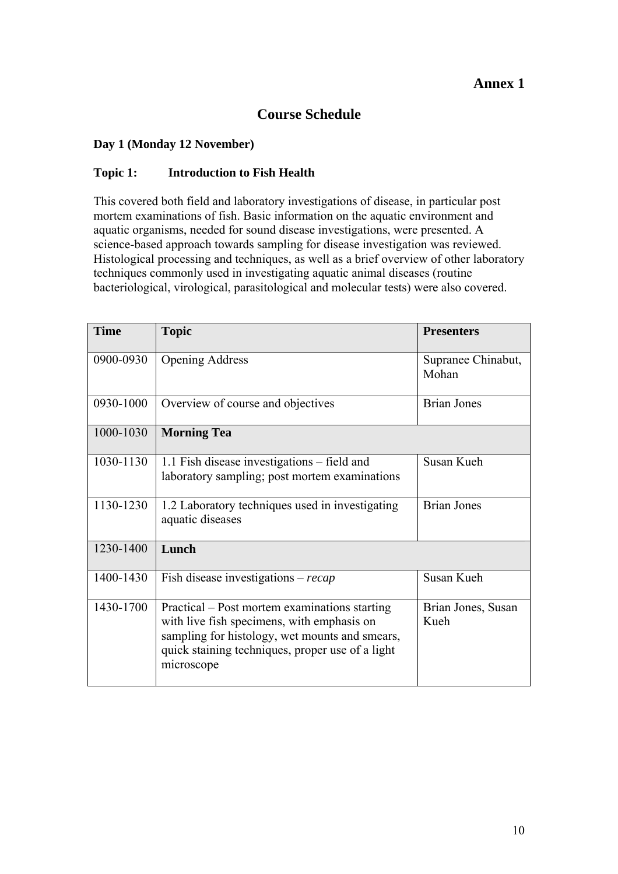#### **Annex 1**

### **Course Schedule**

#### **Day 1 (Monday 12 November)**

#### **Topic 1: Introduction to Fish Health**

This covered both field and laboratory investigations of disease, in particular post mortem examinations of fish. Basic information on the aquatic environment and aquatic organisms, needed for sound disease investigations, were presented. A science-based approach towards sampling for disease investigation was reviewed. Histological processing and techniques, as well as a brief overview of other laboratory techniques commonly used in investigating aquatic animal diseases (routine bacteriological, virological, parasitological and molecular tests) were also covered.

| <b>Time</b> | <b>Topic</b>                                                                                                                                                                                                    | <b>Presenters</b>           |
|-------------|-----------------------------------------------------------------------------------------------------------------------------------------------------------------------------------------------------------------|-----------------------------|
| 0900-0930   | <b>Opening Address</b>                                                                                                                                                                                          | Supranee Chinabut,<br>Mohan |
| 0930-1000   | Overview of course and objectives                                                                                                                                                                               | <b>Brian Jones</b>          |
| 1000-1030   | <b>Morning Tea</b>                                                                                                                                                                                              |                             |
| 1030-1130   | 1.1 Fish disease investigations – field and<br>laboratory sampling; post mortem examinations                                                                                                                    | Susan Kueh                  |
| 1130-1230   | 1.2 Laboratory techniques used in investigating<br>aquatic diseases                                                                                                                                             | <b>Brian Jones</b>          |
| 1230-1400   | Lunch                                                                                                                                                                                                           |                             |
| 1400-1430   | Fish disease investigations – $recap$                                                                                                                                                                           | Susan Kueh                  |
| 1430-1700   | Practical – Post mortem examinations starting<br>with live fish specimens, with emphasis on<br>sampling for histology, wet mounts and smears,<br>quick staining techniques, proper use of a light<br>microscope | Brian Jones, Susan<br>Kueh  |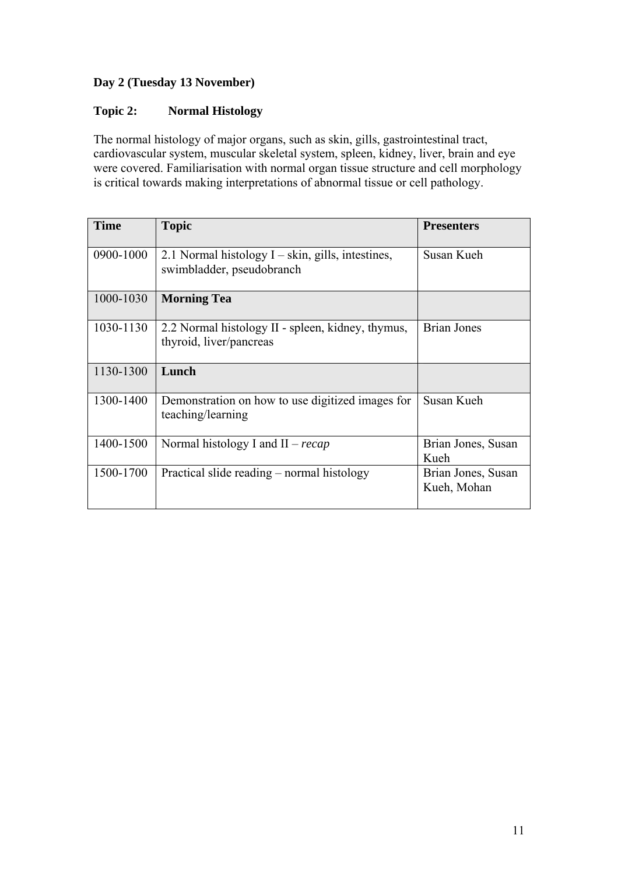#### **Day 2 (Tuesday 13 November)**

#### **Topic 2: Normal Histology**

The normal histology of major organs, such as skin, gills, gastrointestinal tract, cardiovascular system, muscular skeletal system, spleen, kidney, liver, brain and eye were covered. Familiarisation with normal organ tissue structure and cell morphology is critical towards making interpretations of abnormal tissue or cell pathology.

| <b>Time</b> | <b>Topic</b>                                                                      | <b>Presenters</b>                 |
|-------------|-----------------------------------------------------------------------------------|-----------------------------------|
| 0900-1000   | 2.1 Normal histology $I - skin$ , gills, intestines,<br>swimbladder, pseudobranch | Susan Kueh                        |
| 1000-1030   | <b>Morning Tea</b>                                                                |                                   |
| 1030-1130   | 2.2 Normal histology II - spleen, kidney, thymus,<br>thyroid, liver/pancreas      | Brian Jones                       |
| 1130-1300   | Lunch                                                                             |                                   |
| 1300-1400   | Demonstration on how to use digitized images for<br>teaching/learning             | Susan Kueh                        |
| 1400-1500   | Normal histology I and $II - recap$                                               | Brian Jones, Susan<br>Kueh        |
| 1500-1700   | Practical slide reading – normal histology                                        | Brian Jones, Susan<br>Kueh, Mohan |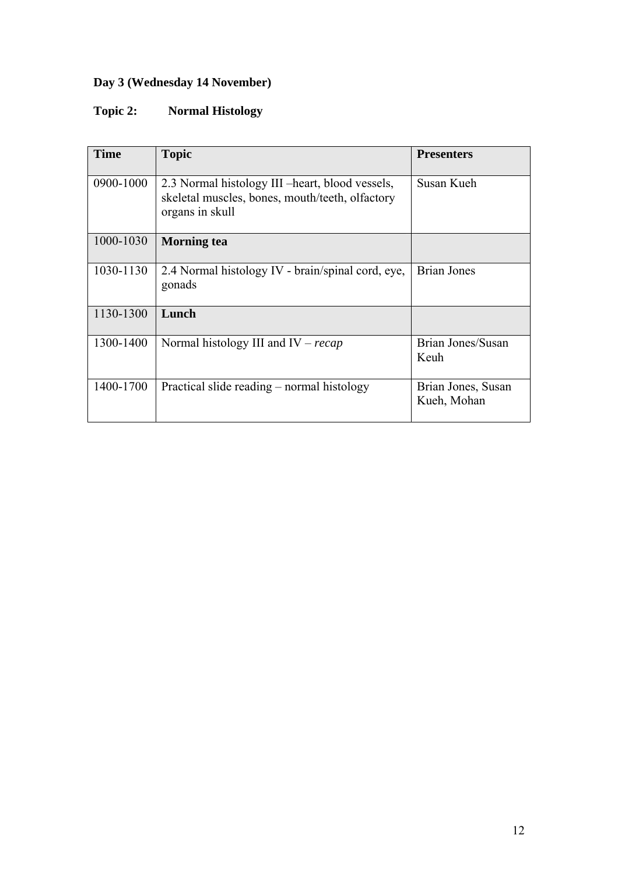# **Day 3 (Wednesday 14 November)**

# **Topic 2: Normal Histology**

| <b>Time</b> | <b>Topic</b>                                                                                                           | <b>Presenters</b>                 |
|-------------|------------------------------------------------------------------------------------------------------------------------|-----------------------------------|
| 0900-1000   | 2.3 Normal histology III – heart, blood vessels,<br>skeletal muscles, bones, mouth/teeth, olfactory<br>organs in skull | Susan Kueh                        |
| 1000-1030   | <b>Morning tea</b>                                                                                                     |                                   |
| 1030-1130   | 2.4 Normal histology IV - brain/spinal cord, eye,<br>gonads                                                            | <b>Brian Jones</b>                |
| 1130-1300   | Lunch                                                                                                                  |                                   |
| 1300-1400   | Normal histology III and IV – $recap$                                                                                  | Brian Jones/Susan<br>Keuh         |
| 1400-1700   | Practical slide reading – normal histology                                                                             | Brian Jones, Susan<br>Kueh, Mohan |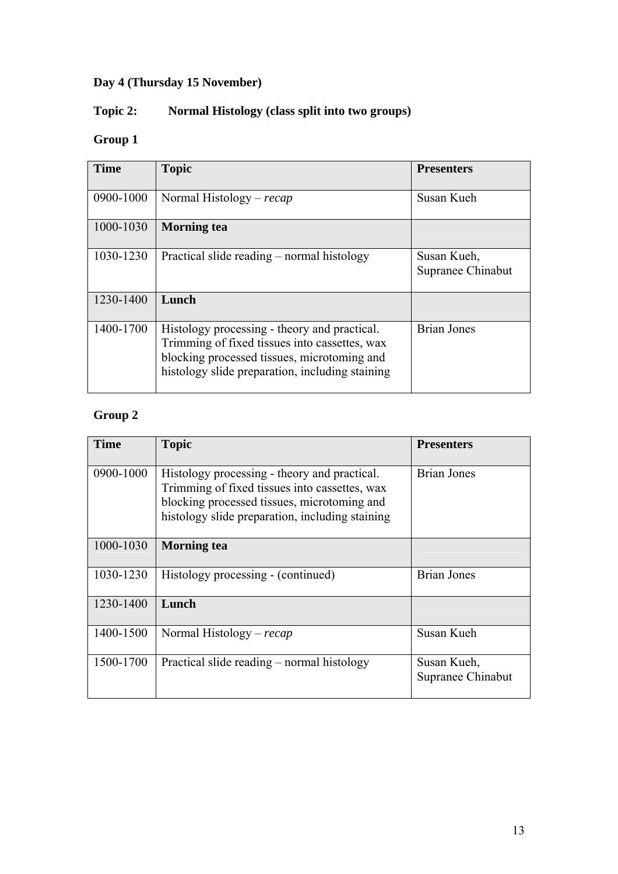# **Day 4 (Thursday 15 November)**

# **Topic 2: Normal Histology (class split into two groups)**

# **Group 1**

| <b>Time</b> | <b>Topic</b>                                                                                                                                                                                    | <b>Presenters</b>                |
|-------------|-------------------------------------------------------------------------------------------------------------------------------------------------------------------------------------------------|----------------------------------|
| 0900-1000   | Normal Histology – $recap$                                                                                                                                                                      | Susan Kueh                       |
| 1000-1030   | <b>Morning tea</b>                                                                                                                                                                              |                                  |
| 1030-1230   | Practical slide reading – normal histology                                                                                                                                                      | Susan Kueh,<br>Supranee Chinabut |
| 1230-1400   | Lunch                                                                                                                                                                                           |                                  |
| 1400-1700   | Histology processing - theory and practical.<br>Trimming of fixed tissues into cassettes, wax<br>blocking processed tissues, microtoming and<br>histology slide preparation, including staining | <b>Brian Jones</b>               |

# **Group 2**

| <b>Time</b> | <b>Topic</b>                                                                                                                                                                                    | <b>Presenters</b>                |
|-------------|-------------------------------------------------------------------------------------------------------------------------------------------------------------------------------------------------|----------------------------------|
| 0900-1000   | Histology processing - theory and practical.<br>Trimming of fixed tissues into cassettes, wax<br>blocking processed tissues, microtoming and<br>histology slide preparation, including staining | <b>Brian Jones</b>               |
| 1000-1030   | <b>Morning tea</b>                                                                                                                                                                              |                                  |
| 1030-1230   | Histology processing - (continued)                                                                                                                                                              | <b>Brian Jones</b>               |
| 1230-1400   | Lunch                                                                                                                                                                                           |                                  |
| 1400-1500   | Normal Histology – $recap$                                                                                                                                                                      | Susan Kueh                       |
| 1500-1700   | Practical slide reading – normal histology                                                                                                                                                      | Susan Kueh,<br>Supranee Chinabut |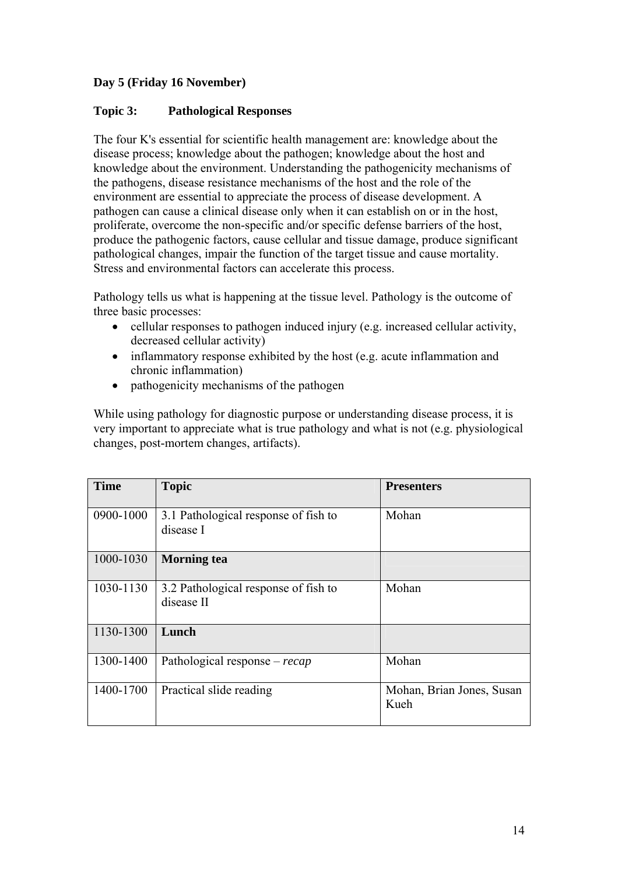#### **Day 5 (Friday 16 November)**

#### **Topic 3: Pathological Responses**

The four K's essential for scientific health management are: knowledge about the disease process; knowledge about the pathogen; knowledge about the host and knowledge about the environment. Understanding the pathogenicity mechanisms of the pathogens, disease resistance mechanisms of the host and the role of the environment are essential to appreciate the process of disease development. A pathogen can cause a clinical disease only when it can establish on or in the host, proliferate, overcome the non-specific and/or specific defense barriers of the host, produce the pathogenic factors, cause cellular and tissue damage, produce significant pathological changes, impair the function of the target tissue and cause mortality. Stress and environmental factors can accelerate this process.

Pathology tells us what is happening at the tissue level. Pathology is the outcome of three basic processes:

- cellular responses to pathogen induced injury (e.g. increased cellular activity, decreased cellular activity)
- inflammatory response exhibited by the host (e.g. acute inflammation and chronic inflammation)
- pathogenicity mechanisms of the pathogen

While using pathology for diagnostic purpose or understanding disease process, it is very important to appreciate what is true pathology and what is not (e.g. physiological changes, post-mortem changes, artifacts).

| <b>Time</b> | <b>Topic</b>                                       | <b>Presenters</b>                 |
|-------------|----------------------------------------------------|-----------------------------------|
| 0900-1000   | 3.1 Pathological response of fish to<br>disease I  | Mohan                             |
| 1000-1030   | <b>Morning</b> tea                                 |                                   |
| 1030-1130   | 3.2 Pathological response of fish to<br>disease II | Mohan                             |
| 1130-1300   | Lunch                                              |                                   |
| 1300-1400   | Pathological response – $recap$                    | Mohan                             |
| 1400-1700   | Practical slide reading                            | Mohan, Brian Jones, Susan<br>Kueh |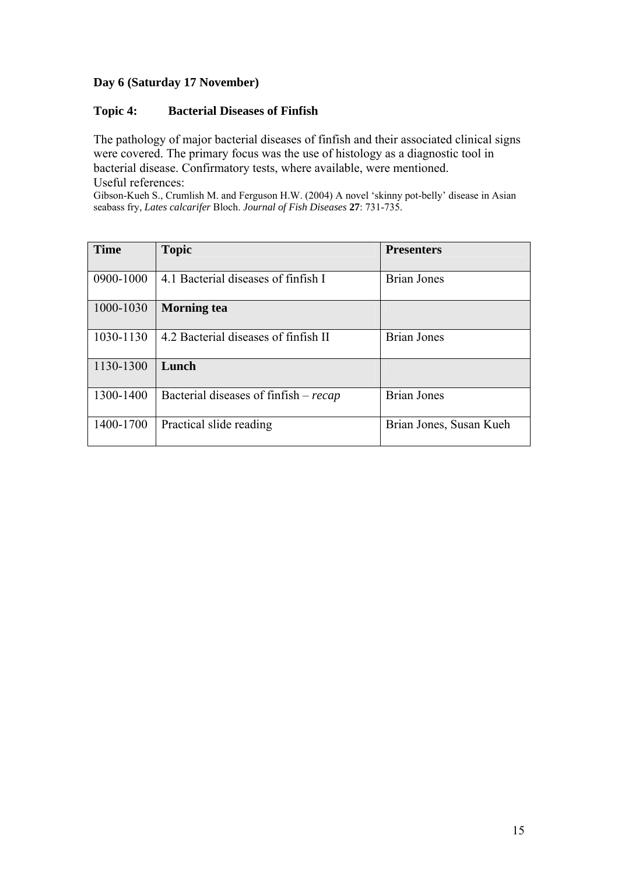#### **Day 6 (Saturday 17 November)**

#### **Topic 4: Bacterial Diseases of Finfish**

The pathology of major bacterial diseases of finfish and their associated clinical signs were covered. The primary focus was the use of histology as a diagnostic tool in bacterial disease. Confirmatory tests, where available, were mentioned. Useful references:

Gibson-Kueh S., Crumlish M. and Ferguson H.W. (2004) A novel 'skinny pot-belly' disease in Asian seabass fry, *Lates calcarifer* Bloch. *Journal of Fish Diseases* **27**: 731-735.

| <b>Time</b> | <b>Topic</b>                          | <b>Presenters</b>       |
|-------------|---------------------------------------|-------------------------|
| 0900-1000   | 4.1 Bacterial diseases of finfish I   | <b>Brian Jones</b>      |
| 1000-1030   | <b>Morning</b> tea                    |                         |
| 1030-1130   | 4.2 Bacterial diseases of finfish II  | Brian Jones             |
| 1130-1300   | Lunch                                 |                         |
| 1300-1400   | Bacterial diseases of finfish – recap | <b>Brian Jones</b>      |
| 1400-1700   | Practical slide reading               | Brian Jones, Susan Kueh |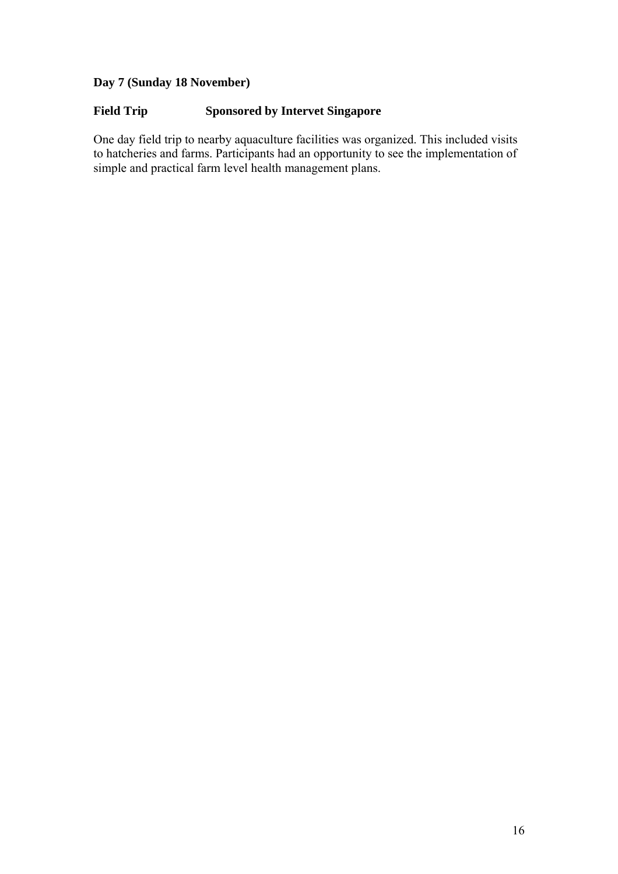# **Day 7 (Sunday 18 November)**

#### **Field Trip Sponsored by Intervet Singapore**

One day field trip to nearby aquaculture facilities was organized. This included visits to hatcheries and farms. Participants had an opportunity to see the implementation of simple and practical farm level health management plans.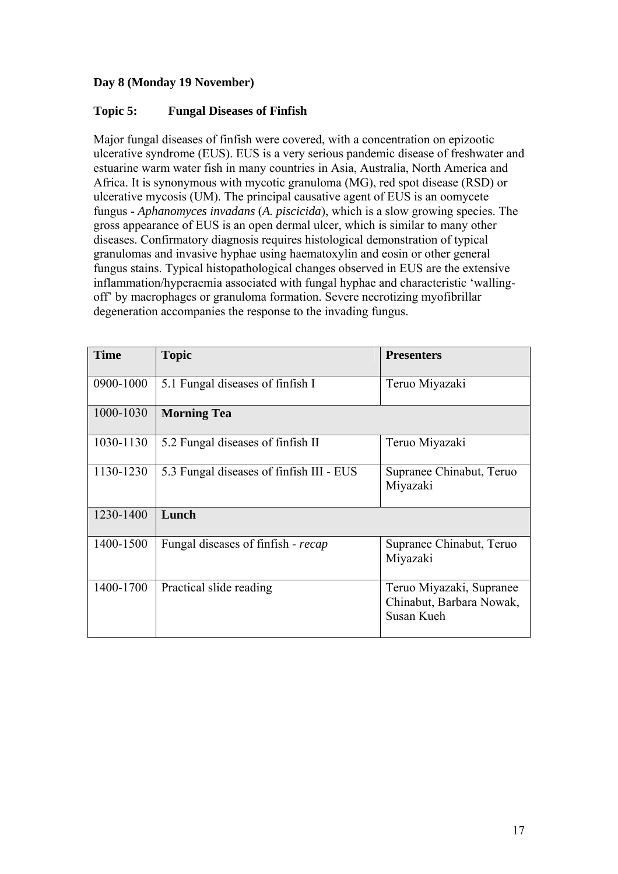#### **Day 8 (Monday 19 November)**

#### **Topic 5: Fungal Diseases of Finfish**

Major fungal diseases of finfish were covered, with a concentration on epizootic ulcerative syndrome (EUS). EUS is a very serious pandemic disease of freshwater and estuarine warm water fish in many countries in Asia, Australia, North America and Africa. It is synonymous with mycotic granuloma (MG), red spot disease (RSD) or ulcerative mycosis (UM). The principal causative agent of EUS is an oomycete fungus - *Aphanomyces invadans* (*A. piscicida*), which is a slow growing species. The gross appearance of EUS is an open dermal ulcer, which is similar to many other diseases. Confirmatory diagnosis requires histological demonstration of typical granulomas and invasive hyphae using haematoxylin and eosin or other general fungus stains. Typical histopathological changes observed in EUS are the extensive inflammation/hyperaemia associated with fungal hyphae and characteristic 'wallingoff' by macrophages or granuloma formation. Severe necrotizing myofibrillar degeneration accompanies the response to the invading fungus.

| <b>Time</b> | <b>Topic</b>                             | <b>Presenters</b>                                                  |
|-------------|------------------------------------------|--------------------------------------------------------------------|
| 0900-1000   | 5.1 Fungal diseases of finfish I         | Teruo Miyazaki                                                     |
| 1000-1030   | <b>Morning Tea</b>                       |                                                                    |
| 1030-1130   | 5.2 Fungal diseases of finfish II        | Teruo Miyazaki                                                     |
| 1130-1230   | 5.3 Fungal diseases of finfish III - EUS | Supranee Chinabut, Teruo<br>Miyazaki                               |
| 1230-1400   | Lunch                                    |                                                                    |
| 1400-1500   | Fungal diseases of finfish - recap       | Supranee Chinabut, Teruo<br>Miyazaki                               |
| 1400-1700   | Practical slide reading                  | Teruo Miyazaki, Supranee<br>Chinabut, Barbara Nowak,<br>Susan Kueh |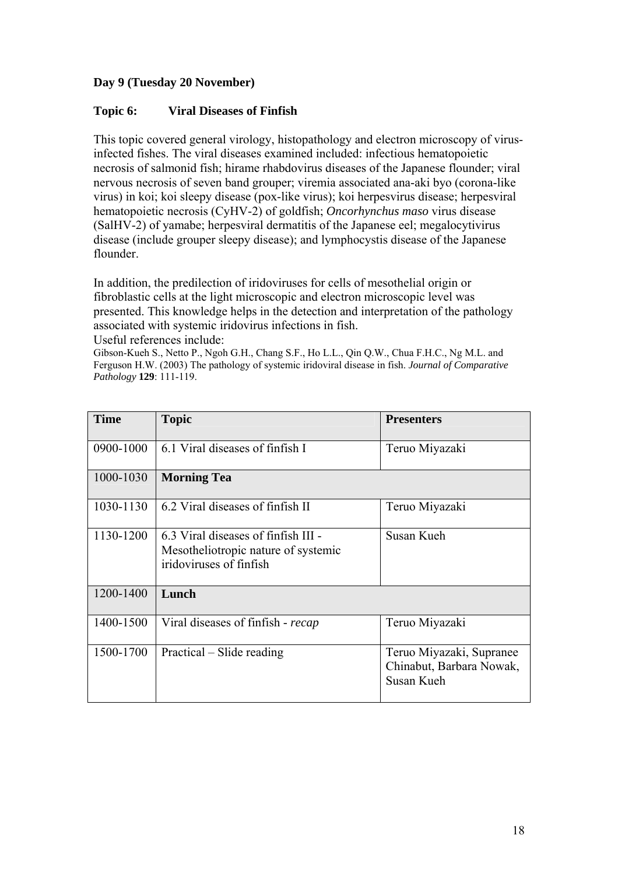#### **Day 9 (Tuesday 20 November)**

#### **Topic 6: Viral Diseases of Finfish**

This topic covered general virology, histopathology and electron microscopy of virusinfected fishes. The viral diseases examined included: infectious hematopoietic necrosis of salmonid fish; hirame rhabdovirus diseases of the Japanese flounder; viral nervous necrosis of seven band grouper; viremia associated ana-aki byo (corona-like virus) in koi; koi sleepy disease (pox-like virus); koi herpesvirus disease; herpesviral hematopoietic necrosis (CyHV-2) of goldfish; *Oncorhynchus maso* virus disease (SalHV-2) of yamabe; herpesviral dermatitis of the Japanese eel; megalocytivirus disease (include grouper sleepy disease); and lymphocystis disease of the Japanese flounder.

In addition, the predilection of iridoviruses for cells of mesothelial origin or fibroblastic cells at the light microscopic and electron microscopic level was presented. This knowledge helps in the detection and interpretation of the pathology associated with systemic iridovirus infections in fish. Useful references include:

Gibson-Kueh S., Netto P., Ngoh G.H., Chang S.F., Ho L.L., Qin Q.W., Chua F.H.C., Ng M.L. and Ferguson H.W. (2003) The pathology of systemic iridoviral disease in fish. *Journal of Comparative Pathology* **129**: 111-119.

| <b>Time</b> | <b>Topic</b>                                                                                          | <b>Presenters</b>                                                  |
|-------------|-------------------------------------------------------------------------------------------------------|--------------------------------------------------------------------|
| 0900-1000   | 6.1 Viral diseases of finfish I                                                                       | Teruo Miyazaki                                                     |
| 1000-1030   | <b>Morning Tea</b>                                                                                    |                                                                    |
| 1030-1130   | 6.2 Viral diseases of finfish II                                                                      | Teruo Miyazaki                                                     |
| 1130-1200   | 6.3 Viral diseases of finfish III -<br>Mesotheliotropic nature of systemic<br>iridoviruses of finfish | Susan Kueh                                                         |
| 1200-1400   | Lunch                                                                                                 |                                                                    |
| 1400-1500   | Viral diseases of finfish - recap                                                                     | Teruo Miyazaki                                                     |
| 1500-1700   | Practical – Slide reading                                                                             | Teruo Miyazaki, Supranee<br>Chinabut, Barbara Nowak,<br>Susan Kueh |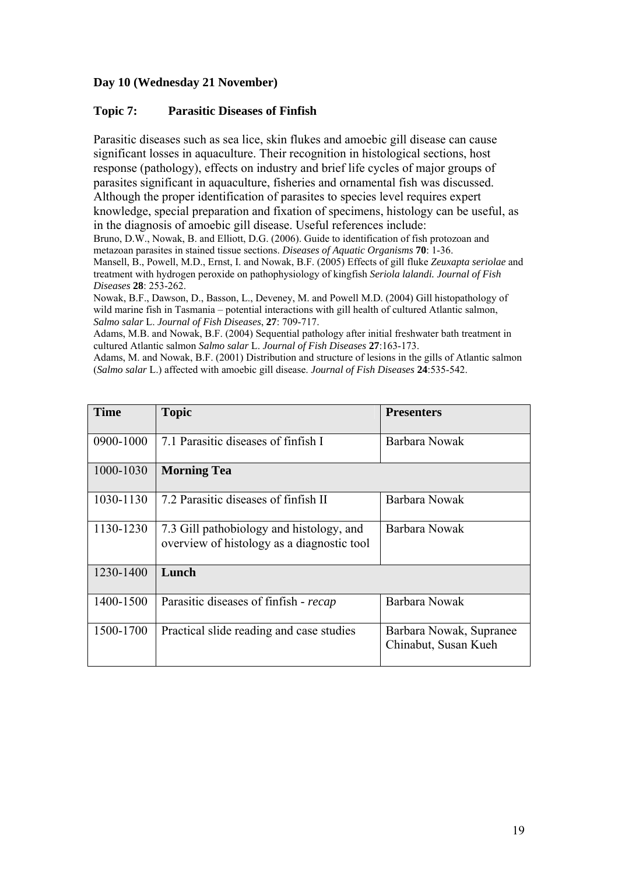#### **Day 10 (Wednesday 21 November)**

#### **Topic 7: Parasitic Diseases of Finfish**

Parasitic diseases such as sea lice, skin flukes and amoebic gill disease can cause significant losses in aquaculture. Their recognition in histological sections, host response (pathology), effects on industry and brief life cycles of major groups of parasites significant in aquaculture, fisheries and ornamental fish was discussed. Although the proper identification of parasites to species level requires expert knowledge, special preparation and fixation of specimens, histology can be useful, as in the diagnosis of amoebic gill disease. Useful references include:

Bruno, D.W., Nowak, B. and Elliott, D.G. (2006). Guide to identification of fish protozoan and metazoan parasites in stained tissue sections. *Diseases of Aquatic Organisms* **70**: 1-36.

Mansell, B., Powell, M.D., Ernst, I. and Nowak, B.F. (2005) Effects of gill fluke *Zeuxapta seriolae* and treatment with hydrogen peroxide on pathophysiology of kingfish *Seriola lalandi. Journal of Fish Diseases* **28**: 253-262.

Nowak, B.F., Dawson, D., Basson, L., Deveney, M. and Powell M.D. (2004) Gill histopathology of wild marine fish in Tasmania – potential interactions with gill health of cultured Atlantic salmon, *Salmo salar* L. *Journal of Fish Diseases*, **27**: 709-717.

Adams, M.B. and Nowak, B.F. (2004) Sequential pathology after initial freshwater bath treatment in cultured Atlantic salmon *Salmo salar* L. *Journal of Fish Diseases* **27**:163-173.

Adams, M. and Nowak, B.F. (2001) Distribution and structure of lesions in the gills of Atlantic salmon (*Salmo salar* L.) affected with amoebic gill disease. *Journal of Fish Diseases* **24**:535-542.

| <b>Time</b> | <b>Topic</b>                                                                           | <b>Presenters</b>                               |
|-------------|----------------------------------------------------------------------------------------|-------------------------------------------------|
| 0900-1000   | 7.1 Parasitic diseases of finfish I                                                    | Barbara Nowak                                   |
| 1000-1030   | <b>Morning Tea</b>                                                                     |                                                 |
| 1030-1130   | 7.2 Parasitic diseases of finfish II                                                   | Barbara Nowak                                   |
| 1130-1230   | 7.3 Gill pathobiology and histology, and<br>overview of histology as a diagnostic tool | Barbara Nowak                                   |
| 1230-1400   | Lunch                                                                                  |                                                 |
| 1400-1500   | Parasitic diseases of finfish - recap                                                  | Barbara Nowak                                   |
| 1500-1700   | Practical slide reading and case studies                                               | Barbara Nowak, Supranee<br>Chinabut, Susan Kueh |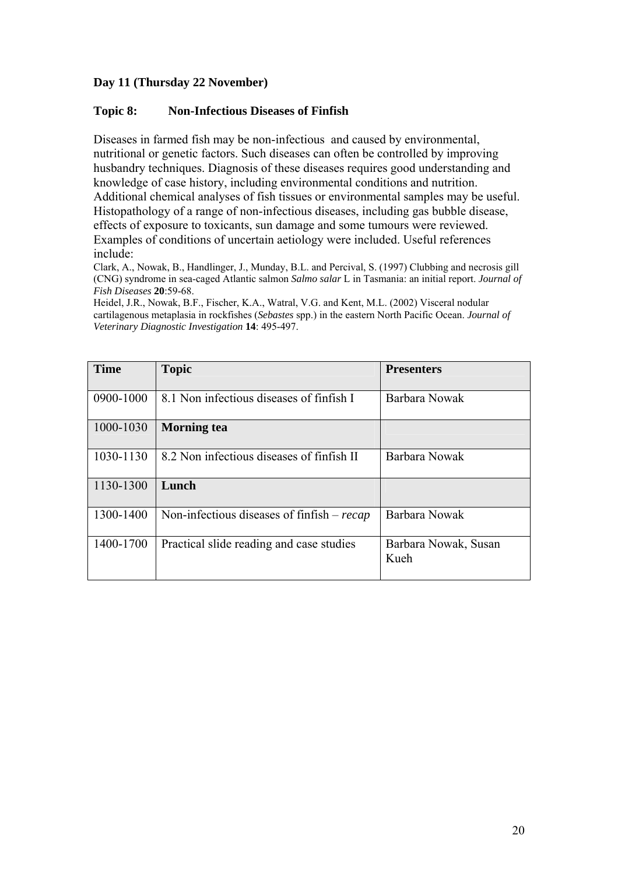#### **Day 11 (Thursday 22 November)**

#### **Topic 8: Non-Infectious Diseases of Finfish**

Diseases in farmed fish may be non-infectious and caused by environmental, nutritional or genetic factors. Such diseases can often be controlled by improving husbandry techniques. Diagnosis of these diseases requires good understanding and knowledge of case history, including environmental conditions and nutrition. Additional chemical analyses of fish tissues or environmental samples may be useful. Histopathology of a range of non-infectious diseases, including gas bubble disease, effects of exposure to toxicants, sun damage and some tumours were reviewed. Examples of conditions of uncertain aetiology were included. Useful references include:

Clark, A., Nowak, B., Handlinger, J., Munday, B.L. and Percival, S. (1997) Clubbing and necrosis gill (CNG) syndrome in sea-caged Atlantic salmon *Salmo salar* L in Tasmania: an initial report. *Journal of Fish Diseases* **20**:59-68.

Heidel, J.R., Nowak, B.F., Fischer, K.A., Watral, V.G. and Kent, M.L. (2002) Visceral nodular cartilagenous metaplasia in rockfishes (*Sebastes* spp.) in the eastern North Pacific Ocean. *Journal of Veterinary Diagnostic Investigation* **14**: 495-497.

| <b>Time</b> | <b>Topic</b>                                 | <b>Presenters</b>            |
|-------------|----------------------------------------------|------------------------------|
| 0900-1000   | 8.1 Non infectious diseases of finfish I     | Barbara Nowak                |
| 1000-1030   | <b>Morning tea</b>                           |                              |
| 1030-1130   | 8.2 Non infectious diseases of finfish II    | Barbara Nowak                |
| 1130-1300   | Lunch                                        |                              |
| 1300-1400   | Non-infectious diseases of finfish $-$ recap | Barbara Nowak                |
| 1400-1700   | Practical slide reading and case studies     | Barbara Nowak, Susan<br>Kueh |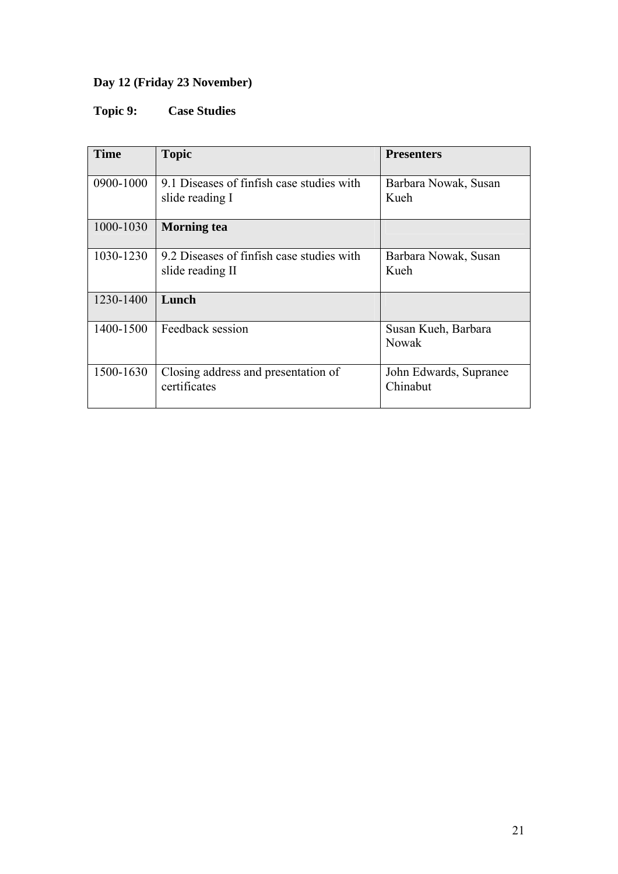# **Day 12 (Friday 23 November)**

# **Topic 9: Case Studies**

| <b>Time</b> | <b>Topic</b>                                                  | <b>Presenters</b>                   |
|-------------|---------------------------------------------------------------|-------------------------------------|
| 0900-1000   | 9.1 Diseases of finfish case studies with<br>slide reading I  | Barbara Nowak, Susan<br>Kueh        |
| 1000-1030   | <b>Morning</b> tea                                            |                                     |
| 1030-1230   | 9.2 Diseases of finfish case studies with<br>slide reading II | Barbara Nowak, Susan<br>Kueh        |
| 1230-1400   | Lunch                                                         |                                     |
| 1400-1500   | Feedback session                                              | Susan Kueh, Barbara<br><b>Nowak</b> |
| 1500-1630   | Closing address and presentation of<br>certificates           | John Edwards, Supranee<br>Chinabut  |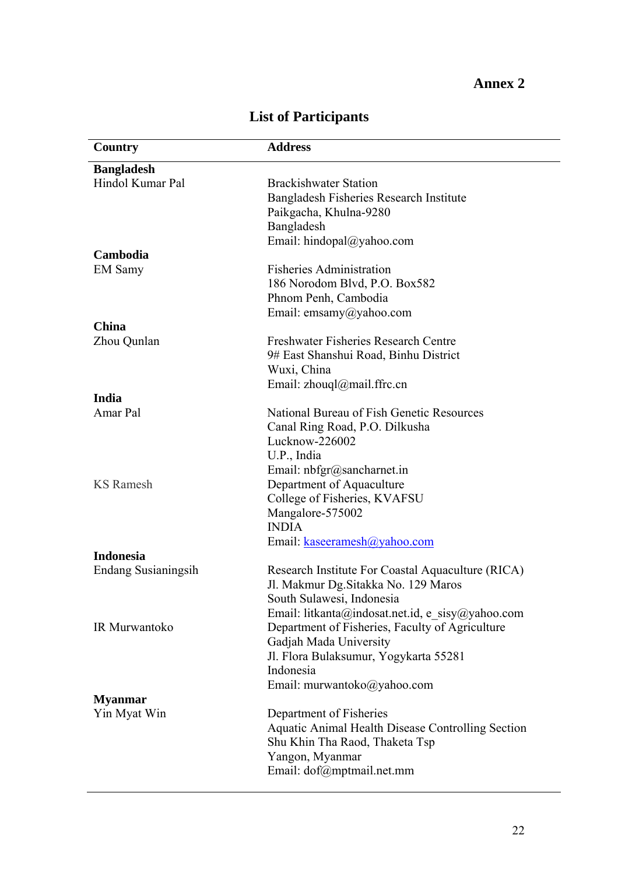| Country                    | <b>Address</b>                                    |
|----------------------------|---------------------------------------------------|
| <b>Bangladesh</b>          |                                                   |
| Hindol Kumar Pal           | <b>Brackishwater Station</b>                      |
|                            | Bangladesh Fisheries Research Institute           |
|                            | Paikgacha, Khulna-9280                            |
|                            | Bangladesh                                        |
|                            | Email: hindopal@yahoo.com                         |
| Cambodia                   |                                                   |
| <b>EM Samy</b>             | <b>Fisheries Administration</b>                   |
|                            | 186 Norodom Blvd, P.O. Box582                     |
|                            | Phnom Penh, Cambodia                              |
|                            | Email: emsamy@yahoo.com                           |
| China                      |                                                   |
| Zhou Qunlan                | Freshwater Fisheries Research Centre              |
|                            | 9# East Shanshui Road, Binhu District             |
|                            | Wuxi, China                                       |
|                            | Email: zhouql@mail.ffrc.cn                        |
| India                      |                                                   |
| Amar Pal                   | National Bureau of Fish Genetic Resources         |
|                            | Canal Ring Road, P.O. Dilkusha                    |
|                            | Lucknow-226002                                    |
|                            | U.P., India                                       |
|                            | Email: nbfgr@sancharnet.in                        |
| <b>KS</b> Ramesh           | Department of Aquaculture                         |
|                            | College of Fisheries, KVAFSU                      |
|                            | Mangalore-575002                                  |
|                            | <b>INDIA</b>                                      |
|                            | Email: kaseeramesh@yahoo.com                      |
| <b>Indonesia</b>           |                                                   |
| <b>Endang Susianingsih</b> | Research Institute For Coastal Aquaculture (RICA) |
|                            | Jl. Makmur Dg. Sitakka No. 129 Maros              |
|                            | South Sulawesi, Indonesia                         |
|                            | Email: litkanta@indosat.net.id, e sisy@yahoo.com  |
| IR Murwantoko              | Department of Fisheries, Faculty of Agriculture   |
|                            | Gadjah Mada University                            |
|                            | Jl. Flora Bulaksumur, Yogykarta 55281             |
|                            | Indonesia                                         |
|                            | Email: murwantoko@yahoo.com                       |
| <b>Myanmar</b>             |                                                   |
| Yin Myat Win               | Department of Fisheries                           |
|                            | Aquatic Animal Health Disease Controlling Section |
|                            | Shu Khin Tha Raod, Thaketa Tsp                    |
|                            | Yangon, Myanmar                                   |
|                            | Email: dof@mptmail.net.mm                         |

# **List of Participants**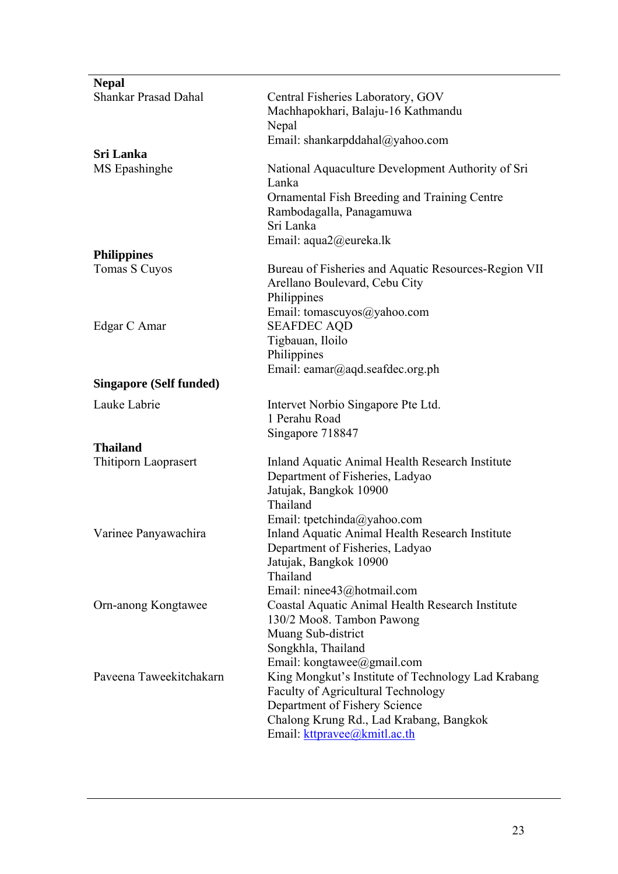| <b>Nepal</b>                   |                                                                            |
|--------------------------------|----------------------------------------------------------------------------|
| <b>Shankar Prasad Dahal</b>    | Central Fisheries Laboratory, GOV                                          |
|                                | Machhapokhari, Balaju-16 Kathmandu                                         |
|                                | Nepal                                                                      |
|                                | Email: shankarpddahal@yahoo.com                                            |
| Sri Lanka                      |                                                                            |
| MS Epashinghe                  | National Aquaculture Development Authority of Sri<br>Lanka                 |
|                                | Ornamental Fish Breeding and Training Centre                               |
|                                | Rambodagalla, Panagamuwa                                                   |
|                                | Sri Lanka                                                                  |
|                                | Email: aqua2@eureka.lk                                                     |
| <b>Philippines</b>             |                                                                            |
| Tomas S Cuyos                  | Bureau of Fisheries and Aquatic Resources-Region VII                       |
|                                | Arellano Boulevard, Cebu City<br>Philippines                               |
|                                | Email: tomascuyos@yahoo.com                                                |
| Edgar C Amar                   | <b>SEAFDEC AQD</b>                                                         |
|                                | Tigbauan, Iloilo                                                           |
|                                | Philippines                                                                |
|                                | Email: eamar@aqd.seafdec.org.ph                                            |
| <b>Singapore (Self funded)</b> |                                                                            |
| Lauke Labrie                   | Intervet Norbio Singapore Pte Ltd.                                         |
|                                | 1 Perahu Road                                                              |
|                                | Singapore 718847                                                           |
| <b>Thailand</b>                | Inland Aquatic Animal Health Research Institute                            |
| Thitiporn Laoprasert           | Department of Fisheries, Ladyao                                            |
|                                | Jatujak, Bangkok 10900                                                     |
|                                | Thailand                                                                   |
|                                | Email: tpetchinda@yahoo.com                                                |
| Varinee Panyawachira           | Inland Aquatic Animal Health Research Institute                            |
|                                | Department of Fisheries, Ladyao                                            |
|                                | Jatujak, Bangkok 10900<br>Thailand                                         |
|                                | Email: ninee43@hotmail.com                                                 |
| Orn-anong Kongtawee            | Coastal Aquatic Animal Health Research Institute                           |
|                                | 130/2 Moo8. Tambon Pawong                                                  |
|                                | Muang Sub-district                                                         |
|                                | Songkhla, Thailand                                                         |
|                                | Email: kongtawee@gmail.com                                                 |
| Paveena Taweekitchakarn        | King Mongkut's Institute of Technology Lad Krabang                         |
|                                | <b>Faculty of Agricultural Technology</b><br>Department of Fishery Science |
|                                | Chalong Krung Rd., Lad Krabang, Bangkok                                    |
|                                | Email: kttpravee@kmitl.ac.th                                               |
|                                |                                                                            |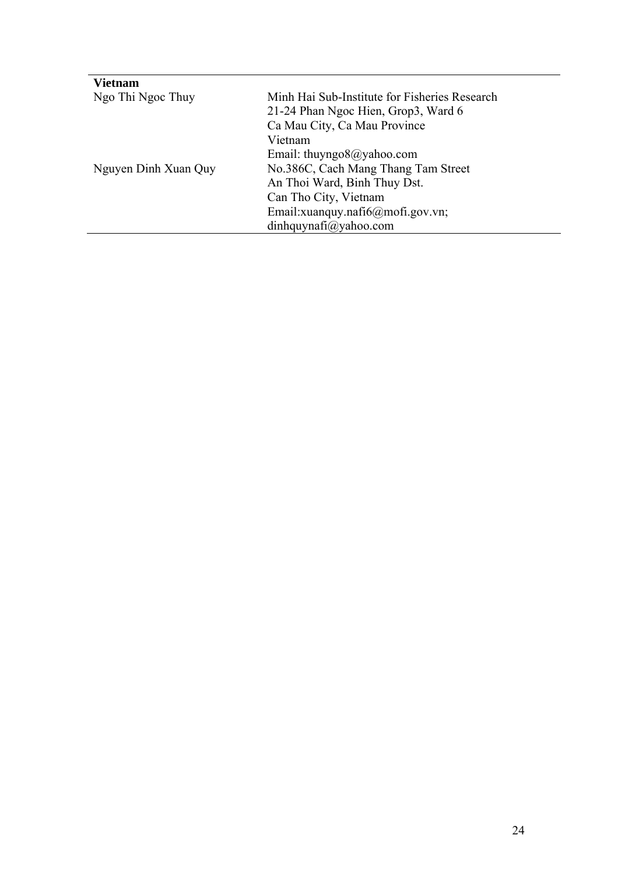| <b>Vietnam</b>       |                                                |  |  |
|----------------------|------------------------------------------------|--|--|
| Ngo Thi Ngoc Thuy    | Minh Hai Sub-Institute for Fisheries Research  |  |  |
|                      | 21-24 Phan Ngoc Hien, Grop3, Ward 6            |  |  |
|                      | Ca Mau City, Ca Mau Province                   |  |  |
|                      | Vietnam                                        |  |  |
|                      | Email: thuyngo $\partial\mathcal{Q}$ yahoo.com |  |  |
| Nguyen Dinh Xuan Quy | No.386C, Cach Mang Thang Tam Street            |  |  |
|                      | An Thoi Ward, Binh Thuy Dst.                   |  |  |
|                      | Can Tho City, Vietnam                          |  |  |
|                      | Email:xuanquy.nafi6@mofi.gov.vn;               |  |  |
|                      | $din$ hquynafi@yahoo.com                       |  |  |
|                      |                                                |  |  |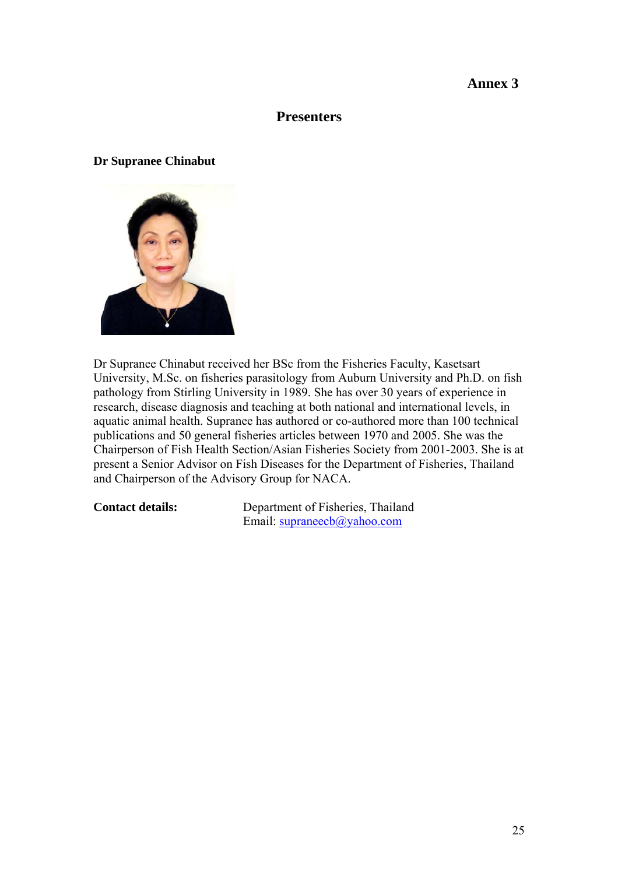#### **Annex 3**

#### **Presenters**

#### **Dr Supranee Chinabut**



Dr Supranee Chinabut received her BSc from the Fisheries Faculty, Kasetsart University, M.Sc. on fisheries parasitology from Auburn University and Ph.D. on fish pathology from Stirling University in 1989. She has over 30 years of experience in research, disease diagnosis and teaching at both national and international levels, in aquatic animal health. Supranee has authored or co-authored more than 100 technical publications and 50 general fisheries articles between 1970 and 2005. She was the Chairperson of Fish Health Section/Asian Fisheries Society from 2001-2003. She is at present a Senior Advisor on Fish Diseases for the Department of Fisheries, Thailand and Chairperson of the Advisory Group for NACA.

**Contact details:** Department of Fisheries, Thailand Email: [supraneecb@yahoo.com](mailto:supraneecb@yahoo.com)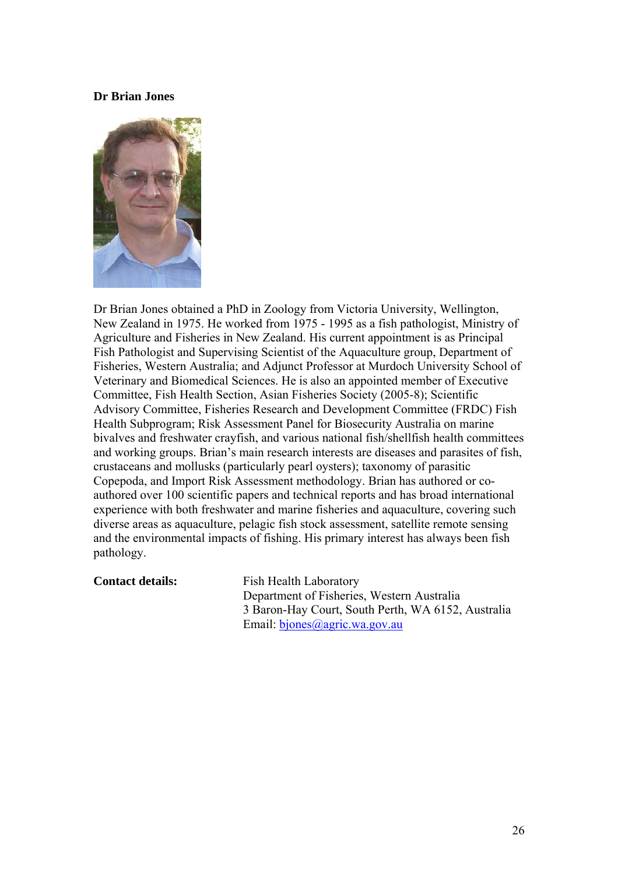#### **Dr Brian Jones**



Dr Brian Jones obtained a PhD in Zoology from Victoria University, Wellington, New Zealand in 1975. He worked from 1975 - 1995 as a fish pathologist, Ministry of Agriculture and Fisheries in New Zealand. His current appointment is as Principal Fish Pathologist and Supervising Scientist of the Aquaculture group, Department of Fisheries, Western Australia; and Adjunct Professor at Murdoch University School of Veterinary and Biomedical Sciences. He is also an appointed member of Executive Committee, Fish Health Section, Asian Fisheries Society (2005-8); Scientific Advisory Committee, Fisheries Research and Development Committee (FRDC) Fish Health Subprogram; Risk Assessment Panel for Biosecurity Australia on marine bivalves and freshwater crayfish, and various national fish/shellfish health committees and working groups. Brian's main research interests are diseases and parasites of fish, crustaceans and mollusks (particularly pearl oysters); taxonomy of parasitic Copepoda, and Import Risk Assessment methodology. Brian has authored or coauthored over 100 scientific papers and technical reports and has broad international experience with both freshwater and marine fisheries and aquaculture, covering such diverse areas as aquaculture, pelagic fish stock assessment, satellite remote sensing and the environmental impacts of fishing. His primary interest has always been fish pathology.

**Contact details:** Fish Health Laboratory Department of Fisheries, Western Australia 3 Baron-Hay Court, South Perth, WA 6152, Australia Email: bjones@agric.wa.gov.au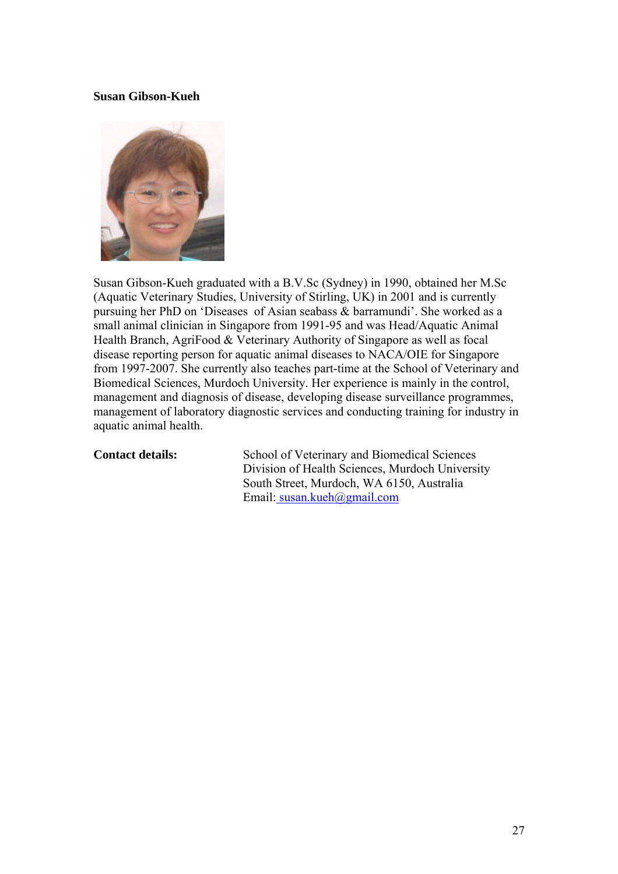#### **Susan Gibson-Kueh**



Susan Gibson-Kueh graduated with a B.V.Sc (Sydney) in 1990, obtained her M.Sc (Aquatic Veterinary Studies, University of Stirling, UK) in 2001 and is currently pursuing her PhD on 'Diseases of Asian seabass & barramundi'. She worked as a small animal clinician in Singapore from 1991-95 and was Head/Aquatic Animal Health Branch, AgriFood & Veterinary Authority of Singapore as well as focal disease reporting person for aquatic animal diseases to NACA/OIE for Singapore from 1997-2007. She currently also teaches part-time at the School of Veterinary and Biomedical Sciences, Murdoch University. Her experience is mainly in the control, management and diagnosis of disease, developing disease surveillance programmes, management of laboratory diagnostic services and conducting training for industry in aquatic animal health.

**Contact details:** School of Veterinary and Biomedical Sciences Division of Health Sciences, Murdoch University South Street, Murdoch, WA 6150, Australia Email: susan.kueh@gmail.com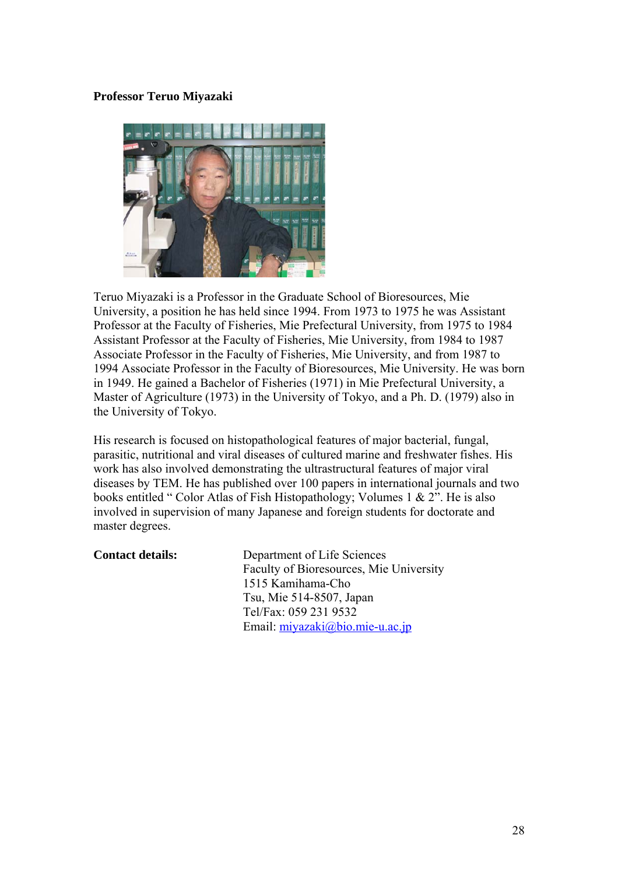#### **Professor Teruo Miyazaki**



Teruo Miyazaki is a Professor in the Graduate School of Bioresources, Mie University, a position he has held since 1994. From 1973 to 1975 he was Assistant Professor at the Faculty of Fisheries, Mie Prefectural University, from 1975 to 1984 Assistant Professor at the Faculty of Fisheries, Mie University, from 1984 to 1987 Associate Professor in the Faculty of Fisheries, Mie University, and from 1987 to 1994 Associate Professor in the Faculty of Bioresources, Mie University. He was born in 1949. He gained a Bachelor of Fisheries (1971) in Mie Prefectural University, a Master of Agriculture (1973) in the University of Tokyo, and a Ph. D. (1979) also in the University of Tokyo.

His research is focused on histopathological features of major bacterial, fungal, parasitic, nutritional and viral diseases of cultured marine and freshwater fishes. His work has also involved demonstrating the ultrastructural features of major viral diseases by TEM. He has published over 100 papers in international journals and two books entitled " Color Atlas of Fish Histopathology; Volumes 1 & 2". He is also involved in supervision of many Japanese and foreign students for doctorate and master degrees.

| <b>Contact details:</b> | Department of Life Sciences             |
|-------------------------|-----------------------------------------|
|                         | Faculty of Bioresources, Mie University |
|                         | 1515 Kamihama-Cho                       |
|                         | Tsu, Mie 514-8507, Japan                |
|                         | Tel/Fax: 059 231 9532                   |
|                         | Email: $miyazaki@bio.mie-u.ac.jp$       |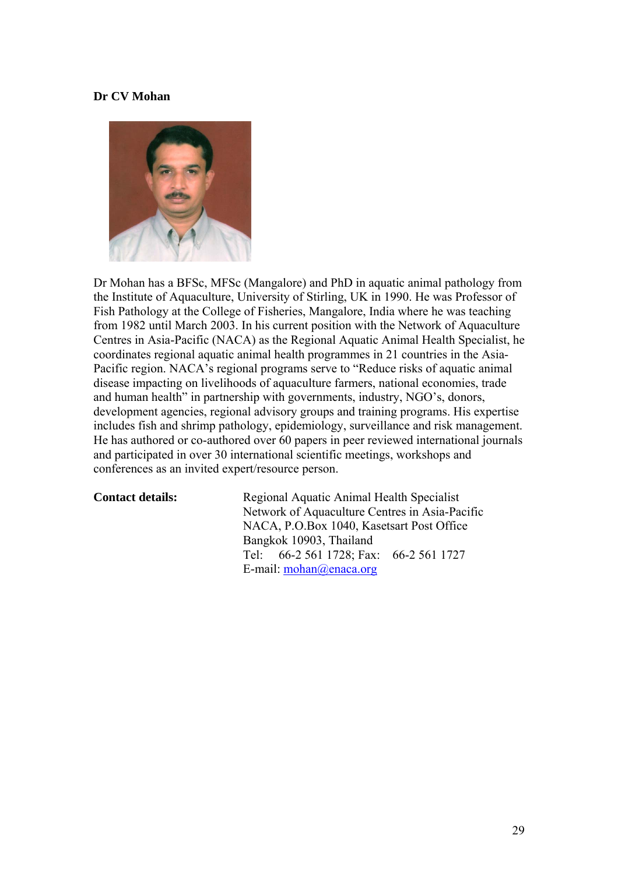#### **Dr CV Mohan**



Dr Mohan has a BFSc, MFSc (Mangalore) and PhD in aquatic animal pathology from the Institute of Aquaculture, University of Stirling, UK in 1990. He was Professor of Fish Pathology at the College of Fisheries, Mangalore, India where he was teaching from 1982 until March 2003. In his current position with the Network of Aquaculture Centres in Asia-Pacific (NACA) as the Regional Aquatic Animal Health Specialist, he coordinates regional aquatic animal health programmes in 21 countries in the Asia-Pacific region. NACA's regional programs serve to "Reduce risks of aquatic animal disease impacting on livelihoods of aquaculture farmers, national economies, trade and human health" in partnership with governments, industry, NGO's, donors, development agencies, regional advisory groups and training programs. His expertise includes fish and shrimp pathology, epidemiology, surveillance and risk management. He has authored or co-authored over 60 papers in peer reviewed international journals and participated in over 30 international scientific meetings, workshops and conferences as an invited expert/resource person.

**Contact details:** Regional Aquatic Animal Health Specialist Network of Aquaculture Centres in Asia-Pacific NACA, P.O.Box 1040, Kasetsart Post Office Bangkok 10903, Thailand Tel: 66-2 561 1728; Fax: 66-2 561 1727 E-mail: [mohan@enaca.org](mailto:mohan@enaca.org)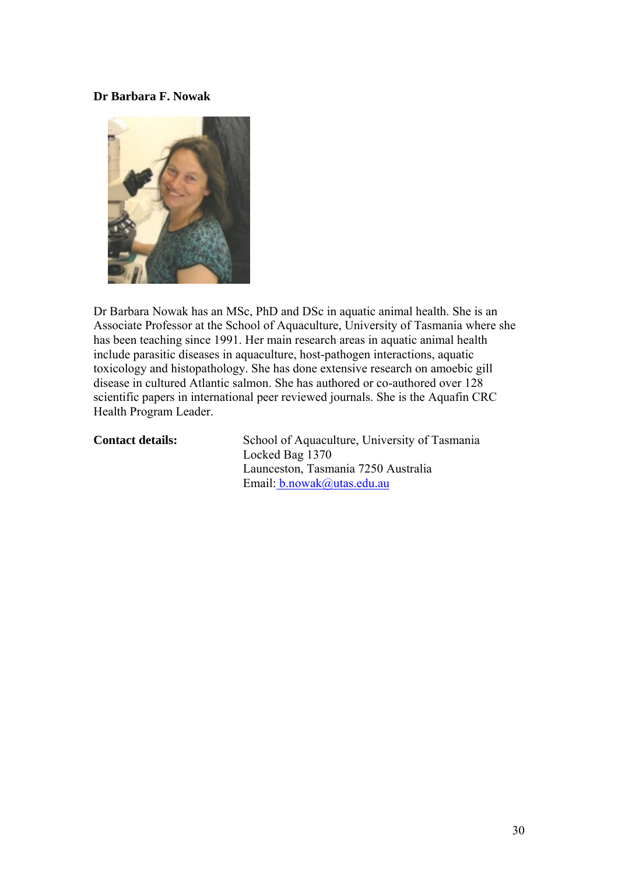#### **Dr Barbara F. Nowak**



Dr Barbara Nowak has an MSc, PhD and DSc in aquatic animal health. She is an Associate Professor at the School of Aquaculture, University of Tasmania where she has been teaching since 1991. Her main research areas in aquatic animal health include parasitic diseases in aquaculture, host-pathogen interactions, aquatic toxicology and histopathology. She has done extensive research on amoebic gill disease in cultured Atlantic salmon. She has authored or co-authored over 128 scientific papers in international peer reviewed journals. She is the Aquafin CRC Health Program Leader.

**Contact details:** School of Aquaculture, University of Tasmania Locked Bag 1370 Launceston, Tasmania 7250 Australia Email[: b.nowak@utas.edu.au](mailto:%20b.nowak@utas.edu.au)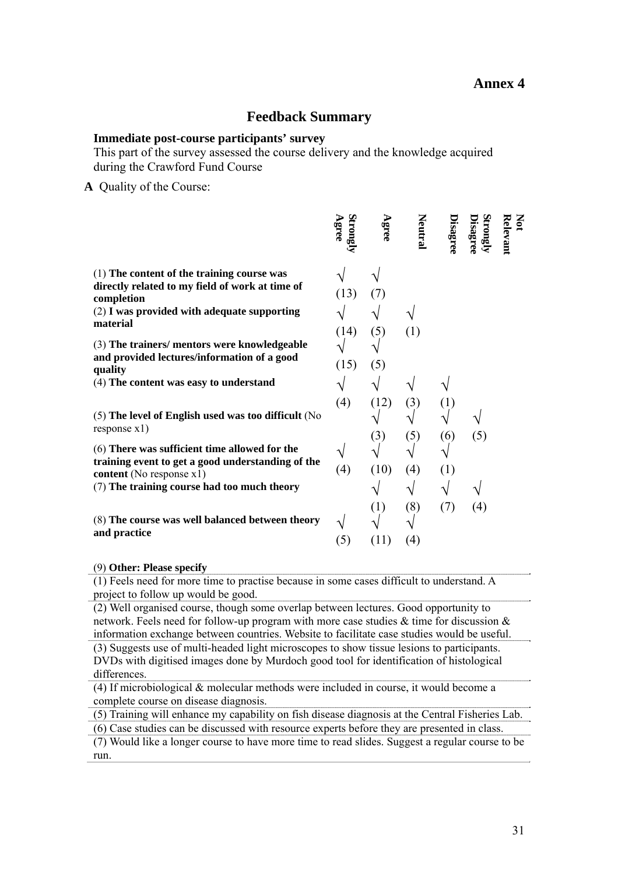#### **Annex 4**

#### **Feedback Summary**

#### **Immediate post-course participants' survey**

This part of the survey assessed the course delivery and the knowledge acquired during the Crawford Fund Course

**A** Quality of the Course:

|                                                                                                                                                                             | Strongl<br>Agree | Agree       | Neutral    | <b>Disagree</b> | Strongly<br><b>Disagree</b> | Not<br>Relevant |
|-----------------------------------------------------------------------------------------------------------------------------------------------------------------------------|------------------|-------------|------------|-----------------|-----------------------------|-----------------|
| (1) The content of the training course was<br>directly related to my field of work at time of<br>completion<br>$(2)$ I was provided with adequate supporting<br>material    | (13)<br>(14)     | (7)<br>(5)  | (1)        |                 |                             |                 |
| (3) The trainers/ mentors were knowledgeable<br>and provided lectures/information of a good<br>quality<br>(4) The content was easy to understand                            | (15)<br>(4)      | (5)<br>(12) | (3)        | (1)             |                             |                 |
| $(5)$ The level of English used was too difficult (No<br>response x1)<br>(6) There was sufficient time allowed for the<br>training event to get a good understanding of the |                  | (3)         | (5)        | (6)             | (5)                         |                 |
| content (No response x1)<br>(7) The training course had too much theory<br>(8) The course was well balanced between theory                                                  | (4)              | (10)<br>(1) | (4)<br>(8) | (1)<br>(7)      | (4)                         |                 |
| and practice                                                                                                                                                                | (5)              | (11)        | (4)        |                 |                             |                 |

#### (9) **Other: Please specify**

(1) Feels need for more time to practise because in some cases difficult to understand. A project to follow up would be good.

(2) Well organised course, though some overlap between lectures. Good opportunity to network. Feels need for follow-up program with more case studies  $\&$  time for discussion  $\&$ information exchange between countries. Website to facilitate case studies would be useful. (3) Suggests use of multi-headed light microscopes to show tissue lesions to participants.

DVDs with digitised images done by Murdoch good tool for identification of histological differences.

(4) If microbiological & molecular methods were included in course, it would become a complete course on disease diagnosis.

(5) Training will enhance my capability on fish disease diagnosis at the Central Fisheries Lab.

(6) Case studies can be discussed with resource experts before they are presented in class.

(7) Would like a longer course to have more time to read slides. Suggest a regular course to be run.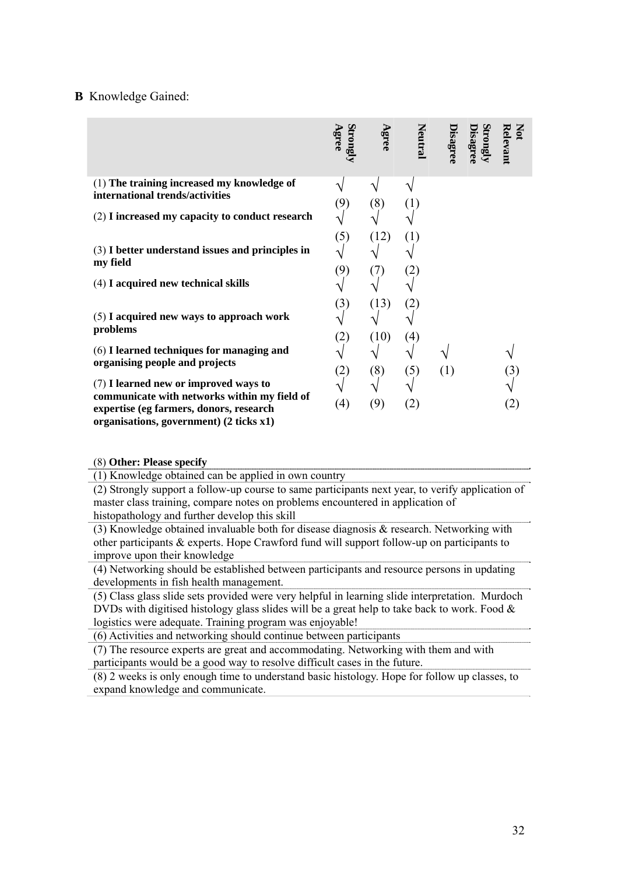#### **B** Knowledge Gained:

|                                                                                                                                                                             | Strongly<br>Agree | Agree        | <b>Neutral</b> | Disagree | Strongly<br><b>Jisagree</b> | Not<br>Relevant |
|-----------------------------------------------------------------------------------------------------------------------------------------------------------------------------|-------------------|--------------|----------------|----------|-----------------------------|-----------------|
| (1) The training increased my knowledge of<br>international trends/activities                                                                                               | (9)               | (8)          |                |          |                             |                 |
| (2) I increased my capacity to conduct research                                                                                                                             |                   |              |                |          |                             |                 |
| $(3)$ I better understand issues and principles in<br>my field                                                                                                              | (5)<br>(9)        | (12)<br>(7)  | (1)<br>(2)     |          |                             |                 |
| (4) I acquired new technical skills                                                                                                                                         |                   |              |                |          |                             |                 |
| $(5)$ I acquired new ways to approach work<br>problems                                                                                                                      | (3)<br>(2)        | (13)<br>(10) | (2)<br>(4)     |          |                             |                 |
| (6) I learned techniques for managing and<br>organising people and projects                                                                                                 | (2)               | (8)          | (5)            | (1)      |                             | (3)             |
| (7) I learned new or improved ways to<br>communicate with networks within my field of<br>expertise (eg farmers, donors, research<br>organisations, government) (2 ticks x1) | (4)               | (9)          | (2)            |          |                             | (2)             |

(8) **Other: Please specify** 

(1) Knowledge obtained can be applied in own country

(2) Strongly support a follow-up course to same participants next year, to verify application of master class training, compare notes on problems encountered in application of histopathology and further develop this skill

(3) Knowledge obtained invaluable both for disease diagnosis & research. Networking with other participants & experts. Hope Crawford fund will support follow-up on participants to improve upon their knowledge

(4) Networking should be established between participants and resource persons in updating developments in fish health management.

(5) Class glass slide sets provided were very helpful in learning slide interpretation. Murdoch DVDs with digitised histology glass slides will be a great help to take back to work. Food & logistics were adequate. Training program was enjoyable!

(6) Activities and networking should continue between participants

(7) The resource experts are great and accommodating. Networking with them and with participants would be a good way to resolve difficult cases in the future.

(8) 2 weeks is only enough time to understand basic histology. Hope for follow up classes, to expand knowledge and communicate.